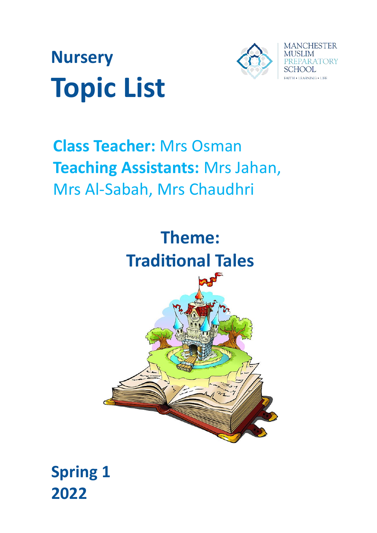



# **Class Teacher:** Mrs Osman **Teaching Assistants:** Mrs Jahan, Mrs Al-Sabah, Mrs Chaudhri



**Spring 1 2022**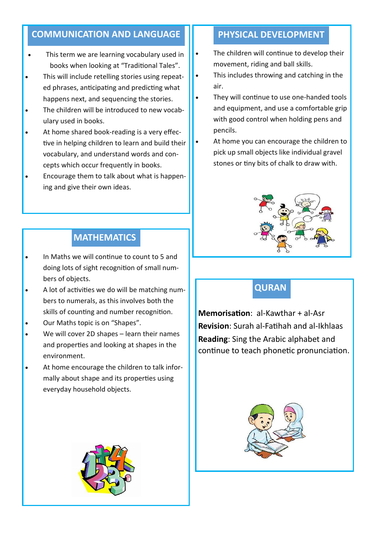#### **COMMUNICATION AND LANGUAGE II PHYSICAL DEVELOPMENT**

- This term we are learning vocabulary used in books when looking at "Traditional Tales".
- This will include retelling stories using repeated phrases, anticipating and predicting what happens next, and sequencing the stories.
- The children will be introduced to new vocabulary used in books.
- At home shared book-reading is a very effective in helping children to learn and build their vocabulary, and understand words and concepts which occur frequently in books.
- Encourage them to talk about what is happening and give their own ideas.

- The children will continue to develop their movement, riding and ball skills.
- This includes throwing and catching in the air.
- They will continue to use one-handed tools and equipment, and use a comfortable grip with good control when holding pens and pencils.
- At home you can encourage the children to pick up small objects like individual gravel stones or tiny bits of chalk to draw with.



#### **QURAN**

**Memorisation**: al-Kawthar + al-Asr **Revision**: Surah al-Fatihah and al-Ikhlaas **Reading**: Sing the Arabic alphabet and continue to teach phonetic pronunciation.



#### **MATHEMATICS**

- In Maths we will continue to count to 5 and doing lots of sight recognition of small numbers of objects.
- A lot of activities we do will be matching numbers to numerals, as this involves both the skills of counting and number recognition.
- Our Maths topic is on "Shapes".
- We will cover 2D shapes learn their names and properties and looking at shapes in the environment.
- At home encourage the children to talk informally about shape and its properties using everyday household objects.